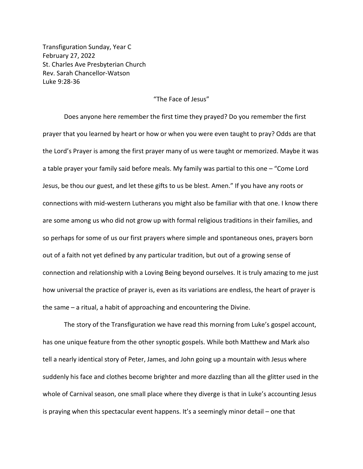Transfiguration Sunday, Year C February 27, 2022 St. Charles Ave Presbyterian Church Rev. Sarah Chancellor-Watson Luke 9:28-36

## "The Face of Jesus"

Does anyone here remember the first time they prayed? Do you remember the first prayer that you learned by heart or how or when you were even taught to pray? Odds are that the Lord's Prayer is among the first prayer many of us were taught or memorized. Maybe it was a table prayer your family said before meals. My family was partial to this one – "Come Lord Jesus, be thou our guest, and let these gifts to us be blest. Amen." If you have any roots or connections with mid-western Lutherans you might also be familiar with that one. I know there are some among us who did not grow up with formal religious traditions in their families, and so perhaps for some of us our first prayers where simple and spontaneous ones, prayers born out of a faith not yet defined by any particular tradition, but out of a growing sense of connection and relationship with a Loving Being beyond ourselves. It is truly amazing to me just how universal the practice of prayer is, even as its variations are endless, the heart of prayer is the same – a ritual, a habit of approaching and encountering the Divine.

The story of the Transfiguration we have read this morning from Luke's gospel account, has one unique feature from the other synoptic gospels. While both Matthew and Mark also tell a nearly identical story of Peter, James, and John going up a mountain with Jesus where suddenly his face and clothes become brighter and more dazzling than all the glitter used in the whole of Carnival season, one small place where they diverge is that in Luke's accounting Jesus is praying when this spectacular event happens. It's a seemingly minor detail – one that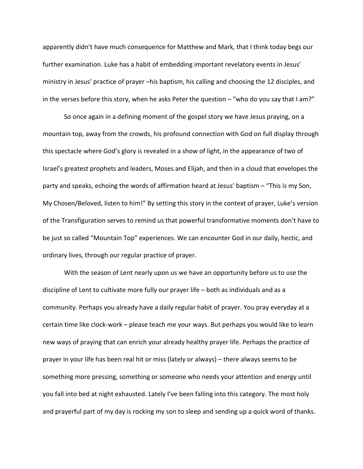apparently didn't have much consequence for Matthew and Mark, that I think today begs our further examination. Luke has a habit of embedding important revelatory events in Jesus' ministry in Jesus' practice of prayer –his baptism, his calling and choosing the 12 disciples, and in the verses before this story, when he asks Peter the question – "who do you say that I am?"

So once again in a defining moment of the gospel story we have Jesus praying, on a mountain top, away from the crowds, his profound connection with God on full display through this spectacle where God's glory is revealed in a show of light, in the appearance of two of Israel's greatest prophets and leaders, Moses and Elijah, and then in a cloud that envelopes the party and speaks, echoing the words of affirmation heard at Jesus' baptism – "This is my Son, My Chosen/Beloved, listen to him!" By setting this story in the context of prayer, Luke's version of the Transfiguration serves to remind us that powerful transformative moments don't have to be just so called "Mountain Top" experiences. We can encounter God in our daily, hectic, and ordinary lives, through our regular practice of prayer.

With the season of Lent nearly upon us we have an opportunity before us to use the discipline of Lent to cultivate more fully our prayer life – both as individuals and as a community. Perhaps you already have a daily regular habit of prayer. You pray everyday at a certain time like clock-work – please teach me your ways. But perhaps you would like to learn new ways of praying that can enrich your already healthy prayer life. Perhaps the practice of prayer in your life has been real hit or miss (lately or always) – there always seems to be something more pressing, something or someone who needs your attention and energy until you fall into bed at night exhausted. Lately I've been falling into this category. The most holy and prayerful part of my day is rocking my son to sleep and sending up a quick word of thanks.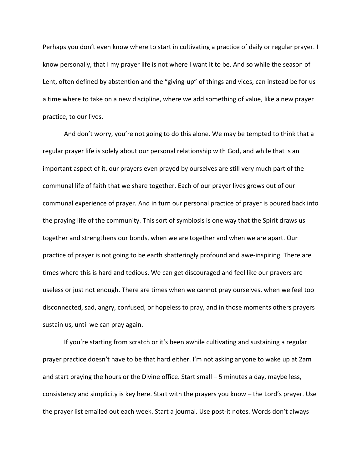Perhaps you don't even know where to start in cultivating a practice of daily or regular prayer. I know personally, that I my prayer life is not where I want it to be. And so while the season of Lent, often defined by abstention and the "giving-up" of things and vices, can instead be for us a time where to take on a new discipline, where we add something of value, like a new prayer practice, to our lives.

And don't worry, you're not going to do this alone. We may be tempted to think that a regular prayer life is solely about our personal relationship with God, and while that is an important aspect of it, our prayers even prayed by ourselves are still very much part of the communal life of faith that we share together. Each of our prayer lives grows out of our communal experience of prayer. And in turn our personal practice of prayer is poured back into the praying life of the community. This sort of symbiosis is one way that the Spirit draws us together and strengthens our bonds, when we are together and when we are apart. Our practice of prayer is not going to be earth shatteringly profound and awe-inspiring. There are times where this is hard and tedious. We can get discouraged and feel like our prayers are useless or just not enough. There are times when we cannot pray ourselves, when we feel too disconnected, sad, angry, confused, or hopeless to pray, and in those moments others prayers sustain us, until we can pray again.

If you're starting from scratch or it's been awhile cultivating and sustaining a regular prayer practice doesn't have to be that hard either. I'm not asking anyone to wake up at 2am and start praying the hours or the Divine office. Start small – 5 minutes a day, maybe less, consistency and simplicity is key here. Start with the prayers you know – the Lord's prayer. Use the prayer list emailed out each week. Start a journal. Use post-it notes. Words don't always